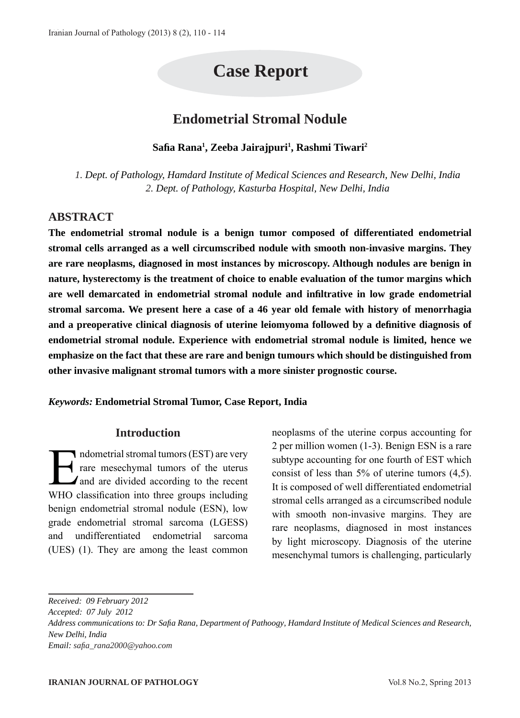# **Case Report**

# **Endometrial Stromal Nodule**

**Safia Rana1 , Zeeba Jairajpuri1 , Rashmi Tiwari2**

*1. Dept. of Pathology, Hamdard Institute of Medical Sciences and Research, New Delhi, India 2. Dept. of Pathology, Kasturba Hospital, New Delhi, India*

### **ABSTRACT**

**The endometrial stromal nodule is a benign tumor composed of differentiated endometrial stromal cells arranged as a well circumscribed nodule with smooth non-invasive margins. They are rare neoplasms, diagnosed in most instances by microscopy. Although nodules are benign in nature, hysterectomy is the treatment of choice to enable evaluation of the tumor margins which are well demarcated in endometrial stromal nodule and infiltrative in low grade endometrial stromal sarcoma. We present here a case of a 46 year old female with history of menorrhagia and a preoperative clinical diagnosis of uterine leiomyoma followed by a definitive diagnosis of endometrial stromal nodule. Experience with endometrial stromal nodule is limited, hence we emphasize on the fact that these are rare and benign tumours which should be distinguished from other invasive malignant stromal tumors with a more sinister prognostic course.**

*Keywords:* **Endometrial Stromal Tumor, Case Report, India**

#### **Introduction**

ndometrial stromal tumors (EST) are very<br>rare mesechymal tumors of the uterus<br>and are divided according to the recent<br>WILO eleccification into three groups including rare mesechymal tumors of the uterus and are divided according to the recent WHO classification into three groups including benign endometrial stromal nodule (ESN), low grade endometrial stromal sarcoma (LGESS) and undifferentiated endometrial sarcoma (UES) (1). They are among the least common

neoplasms of the uterine corpus accounting for 2 per million women (1-3). Benign ESN is a rare subtype accounting for one fourth of EST which consist of less than 5% of uterine tumors (4,5). It is composed of well differentiated endometrial stromal cells arranged as a circumscribed nodule with smooth non-invasive margins. They are rare neoplasms, diagnosed in most instances by light microscopy. Diagnosis of the uterine mesenchymal tumors is challenging, particularly

*Received: 09 February 2012 Accepted: 07 July 2012 Address communications to: Dr Safia Rana, Department of Pathoogy, Hamdard Institute of Medical Sciences and Research, New Delhi, India Email: safia\_rana2000@yahoo.com*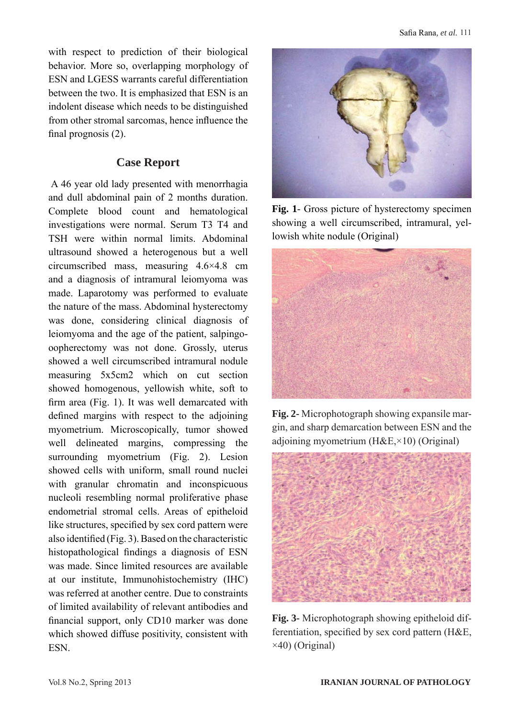with respect to prediction of their biological behavior. More so, overlapping morphology of ESN and LGESS warrants careful differentiation between the two. It is emphasized that ESN is an indolent disease which needs to be distinguished from other stromal sarcomas, hence influence the final prognosis (2).

#### **Case Report**

 A 46 year old lady presented with menorrhagia and dull abdominal pain of 2 months duration. Complete blood count and hematological investigations were normal. Serum T3 T4 and TSH were within normal limits. Abdominal ultrasound showed a heterogenous but a well circumscribed mass, measuring 4.6×4.8 cm and a diagnosis of intramural leiomyoma was made. Laparotomy was performed to evaluate the nature of the mass. Abdominal hysterectomy was done, considering clinical diagnosis of leiomyoma and the age of the patient, salpingooopherectomy was not done. Grossly, uterus showed a well circumscribed intramural nodule measuring 5x5cm2 which on cut section showed homogenous, yellowish white, soft to firm area (Fig. 1). It was well demarcated with defined margins with respect to the adjoining myometrium. Microscopically, tumor showed well delineated margins, compressing the surrounding myometrium (Fig. 2). Lesion showed cells with uniform, small round nuclei with granular chromatin and inconspicuous nucleoli resembling normal proliferative phase endometrial stromal cells. Areas of epitheloid like structures, specified by sex cord pattern were also identified (Fig. 3). Based on the characteristic histopathological findings a diagnosis of ESN was made. Since limited resources are available at our institute, Immunohistochemistry (IHC) was referred at another centre. Due to constraints of limited availability of relevant antibodies and financial support, only CD10 marker was done which showed diffuse positivity, consistent with ESN.



**Fig. 1**- Gross picture of hysterectomy specimen showing a well circumscribed, intramural, yellowish white nodule (Original)



**Fig. 2-** Microphotograph showing expansile margin, and sharp demarcation between ESN and the adjoining myometrium  $(H&E, \times 10)$  (Original)



**Fig. 3-** Microphotograph showing epitheloid differentiation, specified by sex cord pattern (H&E, ×40) (Original)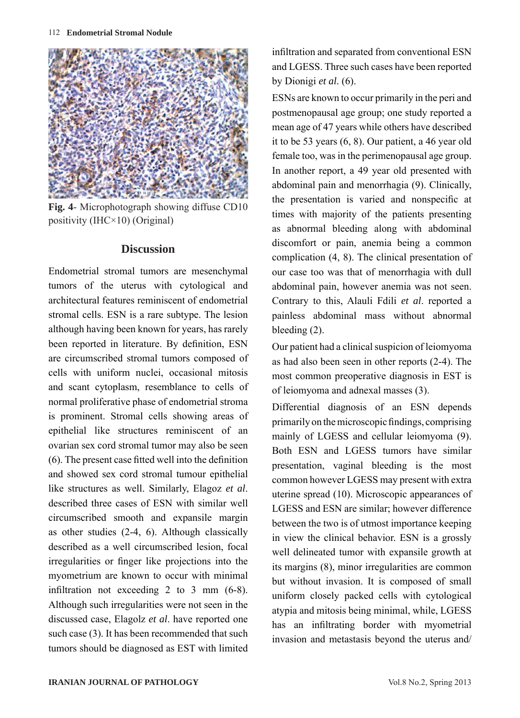

**Fig. 4**- Microphotograph showing diffuse CD10 positivity (IHC×10) (Original)

#### **Discussion**

Endometrial stromal tumors are mesenchymal tumors of the uterus with cytological and architectural features reminiscent of endometrial stromal cells. ESN is a rare subtype. The lesion although having been known for years, has rarely been reported in literature. By definition, ESN are circumscribed stromal tumors composed of cells with uniform nuclei, occasional mitosis and scant cytoplasm, resemblance to cells of normal proliferative phase of endometrial stroma is prominent. Stromal cells showing areas of epithelial like structures reminiscent of an ovarian sex cord stromal tumor may also be seen (6). The present case fitted well into the definition and showed sex cord stromal tumour epithelial like structures as well. Similarly, Elagoz *et al*. described three cases of ESN with similar well circumscribed smooth and expansile margin as other studies (2-4, 6). Although classically described as a well circumscribed lesion, focal irregularities or finger like projections into the myometrium are known to occur with minimal infiltration not exceeding 2 to 3 mm (6-8). Although such irregularities were not seen in the discussed case, Elagolz *et al*. have reported one such case (3). It has been recommended that such tumors should be diagnosed as EST with limited

infiltration and separated from conventional ESN and LGESS. Three such cases have been reported by Dionigi *et al*. (6).

ESNs are known to occur primarily in the peri and postmenopausal age group; one study reported a mean age of 47 years while others have described it to be 53 years (6, 8). Our patient, a 46 year old female too, was in the perimenopausal age group. In another report, a 49 year old presented with abdominal pain and menorrhagia (9). Clinically, the presentation is varied and nonspecific at times with majority of the patients presenting as abnormal bleeding along with abdominal discomfort or pain, anemia being a common complication (4, 8). The clinical presentation of our case too was that of menorrhagia with dull abdominal pain, however anemia was not seen. Contrary to this, Alauli Fdili *et al*. reported a painless abdominal mass without abnormal bleeding (2).

Our patient had a clinical suspicion of leiomyoma as had also been seen in other reports (2-4). The most common preoperative diagnosis in EST is of leiomyoma and adnexal masses (3).

Differential diagnosis of an ESN depends primarily on the microscopic findings, comprising mainly of LGESS and cellular leiomyoma (9). Both ESN and LGESS tumors have similar presentation, vaginal bleeding is the most common however LGESS may present with extra uterine spread (10). Microscopic appearances of LGESS and ESN are similar; however difference between the two is of utmost importance keeping in view the clinical behavior. ESN is a grossly well delineated tumor with expansile growth at its margins (8), minor irregularities are common but without invasion. It is composed of small uniform closely packed cells with cytological atypia and mitosis being minimal, while, LGESS has an infiltrating border with myometrial invasion and metastasis beyond the uterus and/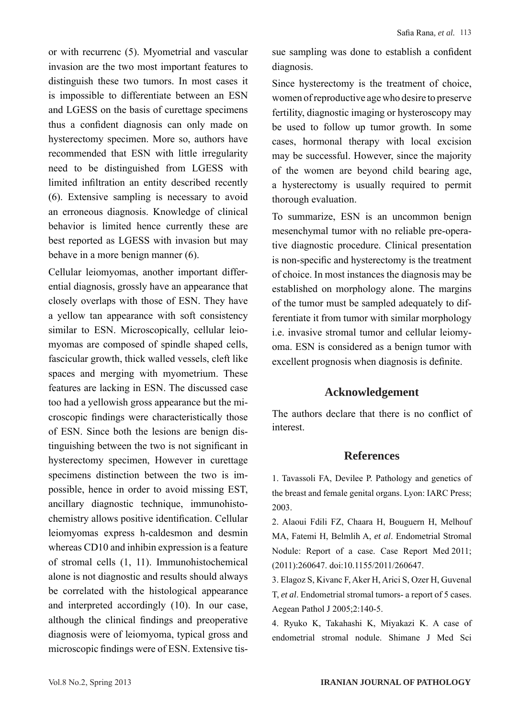or with recurrenc (5). Myometrial and vascular invasion are the two most important features to distinguish these two tumors. In most cases it is impossible to differentiate between an ESN and LGESS on the basis of curettage specimens thus a confident diagnosis can only made on hysterectomy specimen. More so, authors have recommended that ESN with little irregularity need to be distinguished from LGESS with limited infiltration an entity described recently (6). Extensive sampling is necessary to avoid an erroneous diagnosis. Knowledge of clinical behavior is limited hence currently these are best reported as LGESS with invasion but may behave in a more benign manner (6).

Cellular leiomyomas, another important differential diagnosis, grossly have an appearance that closely overlaps with those of ESN. They have a yellow tan appearance with soft consistency similar to ESN. Microscopically, cellular leiomyomas are composed of spindle shaped cells, fascicular growth, thick walled vessels, cleft like spaces and merging with myometrium. These features are lacking in ESN. The discussed case too had a yellowish gross appearance but the microscopic findings were characteristically those of ESN. Since both the lesions are benign distinguishing between the two is not significant in hysterectomy specimen, However in curettage specimens distinction between the two is impossible, hence in order to avoid missing EST, ancillary diagnostic technique, immunohistochemistry allows positive identification. Cellular leiomyomas express h-caldesmon and desmin whereas CD10 and inhibin expression is a feature of stromal cells (1, 11). Immunohistochemical alone is not diagnostic and results should always be correlated with the histological appearance and interpreted accordingly (10). In our case, although the clinical findings and preoperative diagnosis were of leiomyoma, typical gross and microscopic findings were of ESN. Extensive tissue sampling was done to establish a confident diagnosis.

Since hysterectomy is the treatment of choice, women of reproductive age who desire to preserve fertility, diagnostic imaging or hysteroscopy may be used to follow up tumor growth. In some cases, hormonal therapy with local excision may be successful. However, since the majority of the women are beyond child bearing age, a hysterectomy is usually required to permit thorough evaluation.

To summarize, ESN is an uncommon benign mesenchymal tumor with no reliable pre-operative diagnostic procedure. Clinical presentation is non-specific and hysterectomy is the treatment of choice. In most instances the diagnosis may be established on morphology alone. The margins of the tumor must be sampled adequately to differentiate it from tumor with similar morphology i.e. invasive stromal tumor and cellular leiomyoma. ESN is considered as a benign tumor with excellent prognosis when diagnosis is definite.

## **Acknowledgement**

The authors declare that there is no conflict of interest.

#### **References**

1. Tavassoli FA, Devilee P. Pathology and genetics of the breast and female genital organs. Lyon: IARC Press; 2003.

2. Alaoui Fdili FZ, Chaara H, Bouguern H, Melhouf MA, Fatemi H, Belmlih A, *et al*. Endometrial Stromal Nodule: Report of a case. Case Report Med 2011; (2011):260647. doi:10.1155/2011/260647.

3. Elagoz S, Kivanc F, Aker H, Arici S, Ozer H, Guvenal T, *et al*. Endometrial stromal tumors- a report of 5 cases. Aegean Pathol J 2005;2:140-5.

4. Ryuko K, Takahashi K, Miyakazi K. A case of endometrial stromal nodule. Shimane J Med Sci